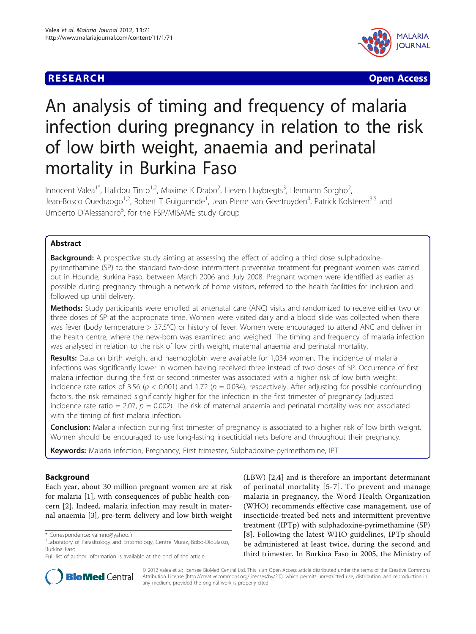# **RESEARCH CONSTRUCTION CONSTRUCTION CONSTRUCTS**



# An analysis of timing and frequency of malaria infection during pregnancy in relation to the risk of low birth weight, anaemia and perinatal mortality in Burkina Faso

Innocent Valea<sup>1\*</sup>, Halidou Tinto<sup>1,2</sup>, Maxime K Drabo<sup>2</sup>, Lieven Huybregts<sup>3</sup>, Hermann Sorgho<sup>2</sup> , Jean-Bosco Ouedraogo<sup>1,2</sup>, Robert T Guiguemde<sup>1</sup>, Jean Pierre van Geertruyden<sup>4</sup>, Patrick Kolsteren<sup>3,5</sup> and Umberto D'Alessandro<sup>6</sup>, for the FSP/MISAME study Group

# Abstract

**Background:** A prospective study aiming at assessing the effect of adding a third dose sulphadoxinepyrimethamine (SP) to the standard two-dose intermittent preventive treatment for pregnant women was carried out in Hounde, Burkina Faso, between March 2006 and July 2008. Pregnant women were identified as earlier as possible during pregnancy through a network of home visitors, referred to the health facilities for inclusion and followed up until delivery.

Methods: Study participants were enrolled at antenatal care (ANC) visits and randomized to receive either two or three doses of SP at the appropriate time. Women were visited daily and a blood slide was collected when there was fever (body temperature > 37.5°C) or history of fever. Women were encouraged to attend ANC and deliver in the health centre, where the new-born was examined and weighed. The timing and frequency of malaria infection was analysed in relation to the risk of low birth weight, maternal anaemia and perinatal mortality.

Results: Data on birth weight and haemoglobin were available for 1,034 women. The incidence of malaria infections was significantly lower in women having received three instead of two doses of SP. Occurrence of first malaria infection during the first or second trimester was associated with a higher risk of low birth weight: incidence rate ratios of 3.56 ( $p < 0.001$ ) and 1.72 ( $p = 0.034$ ), respectively. After adjusting for possible confounding factors, the risk remained significantly higher for the infection in the first trimester of pregnancy (adjusted incidence rate ratio = 2.07,  $p = 0.002$ ). The risk of maternal anaemia and perinatal mortality was not associated with the timing of first malaria infection.

**Conclusion:** Malaria infection during first trimester of pregnancy is associated to a higher risk of low birth weight. Women should be encouraged to use long-lasting insecticidal nets before and throughout their pregnancy.

Keywords: Malaria infection, Pregnancy, First trimester, Sulphadoxine-pyrimethamine, IPT

# Background

Each year, about 30 million pregnant women are at risk for malaria [[1\]](#page-5-0), with consequences of public health concern [[2\]](#page-5-0). Indeed, malaria infection may result in maternal anaemia [\[3](#page-5-0)], pre-term delivery and low birth weight

Full list of author information is available at the end of the article





© 2012 Valea et al; licensee BioMed Central Ltd. This is an Open Access article distributed under the terms of the Creative Commons Attribution License [\(http://creativecommons.org/licenses/by/2.0](http://creativecommons.org/licenses/by/2.0)), which permits unrestricted use, distribution, and reproduction in any medium, provided the original work is properly cited.

<sup>\*</sup> Correspondence: [valinno@yahoo.fr](mailto:valinno@yahoo.fr)

<sup>&</sup>lt;sup>1</sup> Laboratory of Parasitology and Entomology, Centre Muraz, Bobo-Dioulasso, Burkina Faso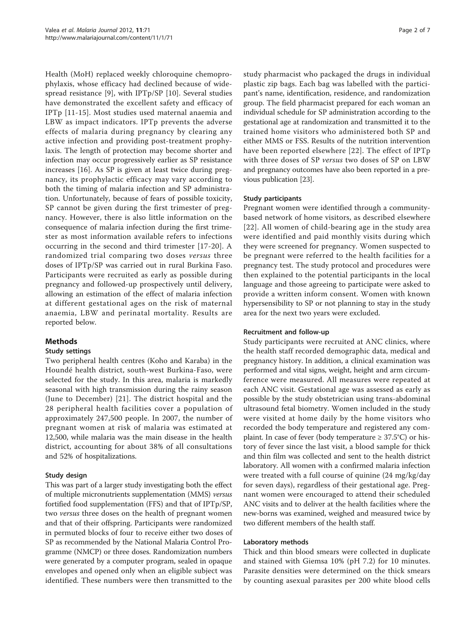Health (MoH) replaced weekly chloroquine chemoprophylaxis, whose efficacy had declined because of widespread resistance [[9\]](#page-6-0), with IPTp/SP [[10\]](#page-6-0). Several studies have demonstrated the excellent safety and efficacy of IPTp [\[11](#page-6-0)-[15](#page-6-0)]. Most studies used maternal anaemia and LBW as impact indicators. IPTp prevents the adverse effects of malaria during pregnancy by clearing any active infection and providing post-treatment prophylaxis. The length of protection may become shorter and infection may occur progressively earlier as SP resistance increases [\[16\]](#page-6-0). As SP is given at least twice during pregnancy, its prophylactic efficacy may vary according to both the timing of malaria infection and SP administration. Unfortunately, because of fears of possible toxicity, SP cannot be given during the first trimester of pregnancy. However, there is also little information on the consequence of malaria infection during the first trimester as most information available refers to infections occurring in the second and third trimester [[17-20\]](#page-6-0). A randomized trial comparing two doses versus three doses of IPTp/SP was carried out in rural Burkina Faso. Participants were recruited as early as possible during pregnancy and followed-up prospectively until delivery, allowing an estimation of the effect of malaria infection at different gestational ages on the risk of maternal anaemia, LBW and perinatal mortality. Results are reported below.

# Methods

# Study settings

Two peripheral health centres (Koho and Karaba) in the Houndé health district, south-west Burkina-Faso, were selected for the study. In this area, malaria is markedly seasonal with high transmission during the rainy season (June to December) [[21](#page-6-0)]. The district hospital and the 28 peripheral health facilities cover a population of approximately 247,500 people. In 2007, the number of pregnant women at risk of malaria was estimated at 12,500, while malaria was the main disease in the health district, accounting for about 38% of all consultations and 52% of hospitalizations.

# Study design

This was part of a larger study investigating both the effect of multiple micronutrients supplementation (MMS) versus fortified food supplementation (FFS) and that of IPTp/SP, two versus three doses on the health of pregnant women and that of their offspring. Participants were randomized in permuted blocks of four to receive either two doses of SP as recommended by the National Malaria Control Programme (NMCP) or three doses. Randomization numbers were generated by a computer program, sealed in opaque envelopes and opened only when an eligible subject was identified. These numbers were then transmitted to the study pharmacist who packaged the drugs in individual plastic zip bags. Each bag was labelled with the participant's name, identification, residence, and randomization group. The field pharmacist prepared for each woman an individual schedule for SP administration according to the gestational age at randomization and transmitted it to the trained home visitors who administered both SP and either MMS or FSS. Results of the nutrition intervention have been reported elsewhere [[22\]](#page-6-0). The effect of IPTp with three doses of SP versus two doses of SP on LBW and pregnancy outcomes have also been reported in a previous publication [\[23\]](#page-6-0).

#### Study participants

Pregnant women were identified through a communitybased network of home visitors, as described elsewhere [[22\]](#page-6-0). All women of child-bearing age in the study area were identified and paid monthly visits during which they were screened for pregnancy. Women suspected to be pregnant were referred to the health facilities for a pregnancy test. The study protocol and procedures were then explained to the potential participants in the local language and those agreeing to participate were asked to provide a written inform consent. Women with known hypersensibility to SP or not planning to stay in the study area for the next two years were excluded.

#### Recruitment and follow-up

Study participants were recruited at ANC clinics, where the health staff recorded demographic data, medical and pregnancy history. In addition, a clinical examination was performed and vital signs, weight, height and arm circumference were measured. All measures were repeated at each ANC visit. Gestational age was assessed as early as possible by the study obstetrician using trans-abdominal ultrasound fetal biometry. Women included in the study were visited at home daily by the home visitors who recorded the body temperature and registered any complaint. In case of fever (body temperature  $\geq 37.5^{\circ}C$ ) or history of fever since the last visit, a blood sample for thick and thin film was collected and sent to the health district laboratory. All women with a confirmed malaria infection were treated with a full course of quinine (24 mg/kg/day for seven days), regardless of their gestational age. Pregnant women were encouraged to attend their scheduled ANC visits and to deliver at the health facilities where the new-borns was examined, weighed and measured twice by two different members of the health staff.

#### Laboratory methods

Thick and thin blood smears were collected in duplicate and stained with Giemsa 10% (pH 7.2) for 10 minutes. Parasite densities were determined on the thick smears by counting asexual parasites per 200 white blood cells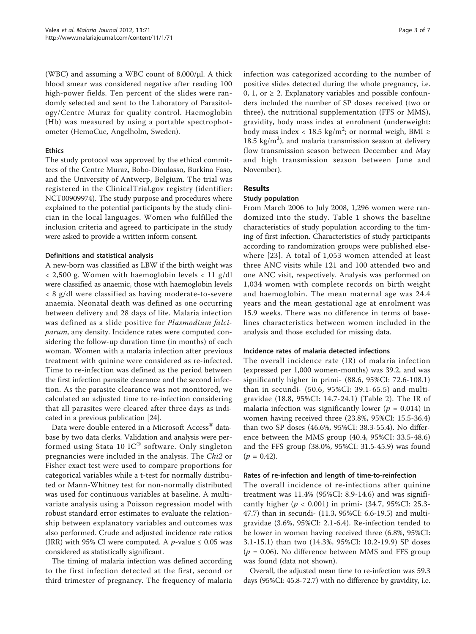(WBC) and assuming a WBC count of  $8,000/\mu$ l. A thick blood smear was considered negative after reading 100 high-power fields. Ten percent of the slides were randomly selected and sent to the Laboratory of Parasitology/Centre Muraz for quality control. Haemoglobin (Hb) was measured by using a portable spectrophotometer (HemoCue, Angelholm, Sweden).

#### **Ethics**

The study protocol was approved by the ethical committees of the Centre Muraz, Bobo-Dioulasso, Burkina Faso, and the University of Antwerp, Belgium. The trial was registered in the ClinicalTrial.gov registry (identifier: NCT00909974). The study purpose and procedures where explained to the potential participants by the study clinician in the local languages. Women who fulfilled the inclusion criteria and agreed to participate in the study were asked to provide a written inform consent.

#### Definitions and statistical analysis

A new-born was classified as LBW if the birth weight was  $<$  2,500 g. Women with haemoglobin levels  $<$  11 g/dl were classified as anaemic, those with haemoglobin levels < 8 g/dl were classified as having moderate-to-severe anaemia. Neonatal death was defined as one occurring between delivery and 28 days of life. Malaria infection was defined as a slide positive for Plasmodium falciparum, any density. Incidence rates were computed considering the follow-up duration time (in months) of each woman. Women with a malaria infection after previous treatment with quinine were considered as re-infected. Time to re-infection was defined as the period between the first infection parasite clearance and the second infection. As the parasite clearance was not monitored, we calculated an adjusted time to re-infection considering that all parasites were cleared after three days as indicated in a previous publication [\[24\]](#page-6-0).

Data were double entered in a Microsoft Access<sup>®</sup> database by two data clerks. Validation and analysis were performed using Stata 10 IC® software. Only singleton pregnancies were included in the analysis. The Chi2 or Fisher exact test were used to compare proportions for categorical variables while a t-test for normally distributed or Mann-Whitney test for non-normally distributed was used for continuous variables at baseline. A multivariate analysis using a Poisson regression model with robust standard error estimates to evaluate the relationship between explanatory variables and outcomes was also performed. Crude and adjusted incidence rate ratios (IRR) with 95% CI were computed. A *p*-value  $\leq 0.05$  was considered as statistically significant.

The timing of malaria infection was defined according to the first infection detected at the first, second or third trimester of pregnancy. The frequency of malaria infection was categorized according to the number of positive slides detected during the whole pregnancy, i.e. 0, 1, or  $\geq$  2. Explanatory variables and possible confounders included the number of SP doses received (two or three), the nutritional supplementation (FFS or MMS), gravidity, body mass index at enrolment (underweight: body mass index < 18.5 kg/m<sup>2</sup>; or normal weigh, BMI ≥ 18.5  $\text{kg/m}^2$ ), and malaria transmission season at delivery (low transmission season between December and May and high transmission season between June and November).

# Results

#### Study population

From March 2006 to July 2008, 1,296 women were randomized into the study. Table [1](#page-3-0) shows the baseline characteristics of study population according to the timing of first infection. Characteristics of study participants according to randomization groups were published elsewhere [[23](#page-6-0)]. A total of 1,053 women attended at least three ANC visits while 121 and 100 attended two and one ANC visit, respectively. Analysis was performed on 1,034 women with complete records on birth weight and haemoglobin. The mean maternal age was 24.4 years and the mean gestational age at enrolment was 15.9 weeks. There was no difference in terms of baselines characteristics between women included in the analysis and those excluded for missing data.

#### Incidence rates of malaria detected infections

The overall incidence rate (IR) of malaria infection (expressed per 1,000 women-months) was 39.2, and was significantly higher in primi- (88.6, 95%CI: 72.6-108.1) than in secundi- (50.6, 95%CI: 39.1-65.5) and multigravidae (18.8, 95%CI: 14.7-24.1) (Table [2](#page-3-0)). The IR of malaria infection was significantly lower ( $p = 0.014$ ) in women having received three (23.8%, 95%CI: 15.5-36.4) than two SP doses (46.6%, 95%CI: 38.3-55.4). No difference between the MMS group (40.4, 95%CI: 33.5-48.6) and the FFS group (38.0%, 95%CI: 31.5-45.9) was found  $(p = 0.42)$ .

#### Rates of re-infection and length of time-to-reinfection

The overall incidence of re-infections after quinine treatment was 11.4% (95%CI: 8.9-14.6) and was significantly higher ( $p < 0.001$ ) in primi- (34.7, 95%CI: 25.3-47.7) than in secundi- (11.3, 95%CI: 6.6-19.5) and multigravidae (3.6%, 95%CI: 2.1-6.4). Re-infection tended to be lower in women having received three (6.8%, 95%CI: 3.1-15.1) than two (14.3%, 95%CI: 10.2-19.9) SP doses  $(p = 0.06)$ . No difference between MMS and FFS group was found (data not shown).

Overall, the adjusted mean time to re-infection was 59.3 days (95%CI: 45.8-72.7) with no difference by gravidity, i.e.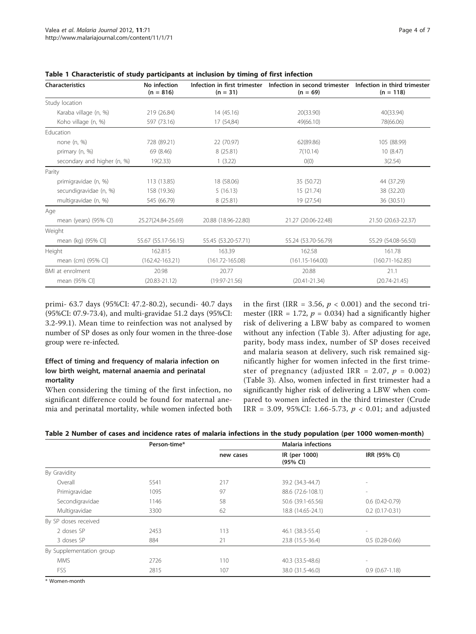| <b>Characteristics</b>      | No infection<br>$(n = 816)$ | Infection in first trimester<br>$(n = 31)$ | Infection in second trimester<br>$(n = 69)$ | Infection in third trimester<br>$(n = 118)$ |
|-----------------------------|-----------------------------|--------------------------------------------|---------------------------------------------|---------------------------------------------|
| Study location              |                             |                                            |                                             |                                             |
| Karaba village (n, %)       | 219 (26.84)                 | 14 (45.16)                                 | 20(33.90)                                   | 40(33.94)                                   |
| Koho village (n, %)         | 597 (73.16)                 | 17 (54,84)                                 | 49(66.10)                                   | 78(66.06)                                   |
| Education                   |                             |                                            |                                             |                                             |
| none $(n, %)$               | 728 (89.21)                 | 22 (70.97)                                 | 62(89.86)                                   | 105 (88.99)                                 |
| primary (n, %)              | 69 (8.46)                   | 8(25.81)                                   | 7(10.14)                                    | 10(8.47)                                    |
| secondary and higher (n, %) | 19(2.33)                    | 1(3.22)                                    | O(0)                                        | 3(2.54)                                     |
| Parity                      |                             |                                            |                                             |                                             |
| primigravidae (n, %)        | 113 (13.85)                 | 18 (58.06)                                 | 35 (50.72)                                  | 44 (37.29)                                  |
| secundigravidae (n, %)      | 158 (19.36)                 | 5(16.13)                                   | 15 (21.74)                                  | 38 (32.20)                                  |
| multigravidae (n, %)        | 545 (66.79)                 | 8(25.81)                                   | 19 (27.54)                                  | 36 (30.51)                                  |
| Age                         |                             |                                            |                                             |                                             |
| mean (years) (95% CI)       | 25.27(24.84-25.69)          | 20.88 (18.96-22.80)                        | 21.27 (20.06-22.48)                         | 21.50 (20.63-22.37)                         |
| Weight                      |                             |                                            |                                             |                                             |
| mean (kg) (95% CI]          | 55.67 (55.17-56.15)         | 55.45 (53.20-57.71)                        | 55.24 (53.70-56.79)                         | 55.29 (54.08-56.50)                         |
| Height                      | 162.815                     | 163.39                                     | 162.58                                      | 161.78                                      |
| mean (cm) (95% CI]          | $(162.42 - 163.21)$         | $(161.72 - 165.08)$                        | $(161.15 - 164.00)$                         | $(160.71 - 162.85)$                         |
| BMI at enrolment            | 20.98                       | 20.77                                      | 20.88                                       | 21.1                                        |
| mean (95% CI)               | $(20.83 - 21.12)$           | $(19.97 - 21.56)$                          | $(20.41 - 21.34)$                           | $(20.74 - 21.45)$                           |

<span id="page-3-0"></span>

|  | Table 1 Characteristic of study participants at inclusion by timing of first infection |  |  |  |  |  |  |  |
|--|----------------------------------------------------------------------------------------|--|--|--|--|--|--|--|
|--|----------------------------------------------------------------------------------------|--|--|--|--|--|--|--|

primi- 63.7 days (95%CI: 47.2-80.2), secundi- 40.7 days (95%CI: 07.9-73.4), and multi-gravidae 51.2 days (95%CI: 3.2-99.1). Mean time to reinfection was not analysed by number of SP doses as only four women in the three-dose group were re-infected.

# Effect of timing and frequency of malaria infection on low birth weight, maternal anaemia and perinatal mortality

When considering the timing of the first infection, no significant difference could be found for maternal anemia and perinatal mortality, while women infected both in the first (IRR = 3.56,  $p < 0.001$ ) and the second trimester (IRR = 1.72,  $p = 0.034$ ) had a significantly higher risk of delivering a LBW baby as compared to women without any infection (Table [3\)](#page-4-0). After adjusting for age, parity, body mass index, number of SP doses received and malaria season at delivery, such risk remained significantly higher for women infected in the first trimester of pregnancy (adjusted IRR = 2.07,  $p = 0.002$ ) (Table [3\)](#page-4-0). Also, women infected in first trimester had a significantly higher risk of delivering a LBW when compared to women infected in the third trimester (Crude IRR = 3.09, 95%CI: 1.66-5.73,  $p < 0.01$ ; and adjusted

| Table 2 Number of cases and incidence rates of malaria infections in the study population (per 1000 women-month) |  |
|------------------------------------------------------------------------------------------------------------------|--|
|------------------------------------------------------------------------------------------------------------------|--|

|                          | Person-time* | <b>Malaria infections</b> |                           |                          |  |
|--------------------------|--------------|---------------------------|---------------------------|--------------------------|--|
|                          |              | new cases                 | IR (per 1000)<br>(95% CI) | IRR (95% CI)             |  |
| By Gravidity             |              |                           |                           |                          |  |
| Overall                  | 5541         | 217                       | 39.2 (34.3-44.7)          | ٠                        |  |
| Primigravidae            | 1095         | 97                        | 88.6 (72.6-108.1)         | $\overline{\phantom{a}}$ |  |
| Secondigravidae          | 1146         | 58                        | 50.6 (39.1-65.56)         | $0.6(0.42 - 0.79)$       |  |
| Multigravidae            | 3300         | 62                        | 18.8 (14.65-24.1)         | $0.2$ (0.17-0.31)        |  |
| By SP doses received     |              |                           |                           |                          |  |
| 2 doses SP               | 2453         | 113                       | 46.1 (38.3-55.4)          | $\overline{\phantom{a}}$ |  |
| 3 doses SP               | 884          | 21                        | 23.8 (15.5-36.4)          | $0.5(0.28-0.66)$         |  |
| By Supplementation group |              |                           |                           |                          |  |
| <b>MMS</b>               | 2726         | 110                       | 40.3 (33.5-48.6)          | $\overline{\phantom{a}}$ |  |
| <b>FSS</b>               | 2815         | 107                       | 38.0 (31.5-46.0)          | $0.9(0.67-1.18)$         |  |

\* Women-month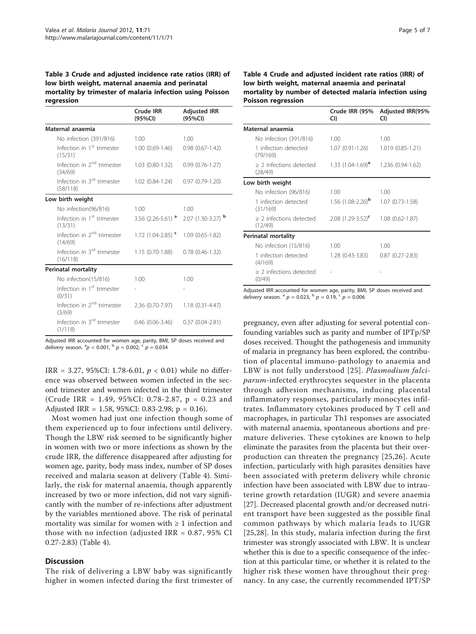<span id="page-4-0"></span>Table 3 Crude and adjusted incidence rate ratios (IRR) of low birth weight, maternal anaemia and perinatal mortality by trimester of malaria infection using Poisson regression

|                                                    | <b>Crude IRR</b><br>(95%CI)                      | <b>Adjusted IRR</b><br>(95%CI)                           |
|----------------------------------------------------|--------------------------------------------------|----------------------------------------------------------|
| Maternal anaemia                                   |                                                  |                                                          |
| No infection (391/816)                             | 1.00                                             | 1.00                                                     |
| Infection in 1 <sup>st</sup> trimester<br>(15/31)  | 1.00 (0.69-1.46)                                 | $0.98(0.67 - 1.42)$                                      |
| Infection in 2 <sup>nd</sup> trimester<br>(34/69)  | 1.03 (0.80-1.32)                                 | $0.99(0.76-1.27)$                                        |
| Infection in 3 <sup>rd</sup> trimester<br>(58/118) | 1.02 (0.84-1.24)  0.97 (0.79-1.20)               |                                                          |
| Low birth weight                                   |                                                  |                                                          |
| No infection(96/816)                               | 1.00                                             | 1.00                                                     |
| Infection in 1 <sup>st</sup> trimester<br>(13/31)  |                                                  | 3.56 $(2.26 - 5.61)$ <sup>a</sup> 2.07 $(1.30 - 3.27)$ b |
| Infection in 2 <sup>nd</sup> trimester<br>(14/69)  | 1.72 $(1.04 - 2.85)$ $\sim$ 1.09 $(0.65 - 1.82)$ |                                                          |
| Infection in 3 <sup>rd</sup> trimester<br>(16/118) | 1.15 (0.70-1.88)                                 | $0.78$ $(0.46 - 1.32)$                                   |
| <b>Perinatal mortality</b>                         |                                                  |                                                          |
| No infection(15/816)                               | 1.00                                             | 1.00                                                     |
| Infection in 1 <sup>st</sup> trimester<br>(0/31)   |                                                  |                                                          |
| Infection in 2 <sup>nd</sup> trimester<br>(3/69)   | 2.36 (0.70-7.97)                                 | $1.18(0.31 - 4.47)$                                      |
| Infection in 3 <sup>rd</sup> trimester<br>(1/118)  | $0.46(0.06-3.46)$                                | $0.37(0.04 - 2.81)$                                      |

Adjusted IRR accounted for women age, parity, BMI, SP doses received and delivery season.  ${}^{a}p < 0.001$ ,  ${}^{b}p = 0.002$ ,  ${}^{c}p = 0.034$ 

IRR = 3.27, 95%CI: 1.78-6.01,  $p < 0.01$ ) while no difference was observed between women infected in the second trimester and women infected in the third trimester (Crude IRR = 1.49, 95%CI: 0.78-2.87, p = 0.23 and Adjusted IRR = 1.58, 95%CI: 0.83-2.98; p = 0.16).

Most women had just one infection though some of them experienced up to four infections until delivery. Though the LBW risk seemed to be significantly higher in women with two or more infections as shown by the crude IRR, the difference disappeared after adjusting for women age, parity, body mass index, number of SP doses received and malaria season at delivery (Table 4). Similarly, the risk for maternal anaemia, though apparently increased by two or more infection, did not vary significantly with the number of re-infections after adjustment by the variables mentioned above. The risk of perinatal mortality was similar for women with  $\geq 1$  infection and those with no infection (adjusted IRR  $= 0.87$ , 95% CI 0.27-2.83) (Table 4).

#### **Discussion**

The risk of delivering a LBW baby was significantly higher in women infected during the first trimester of

#### Table 4 Crude and adjusted incident rate ratios (IRR) of low birth weight, maternal anaemia and perinatal mortality by number of detected malaria infection using Poisson regression

|                                         | Crude IRR (95%<br>CI)           | <b>Adjusted IRR(95%</b><br>CI) |
|-----------------------------------------|---------------------------------|--------------------------------|
| Maternal anaemia                        |                                 |                                |
| No infection (391/816)                  | 1.00                            | 1.00                           |
| 1 infection detected<br>(79/169)        | 1.07 (0.91-1.26)                | $1.019(0.85-1.21)$             |
| $\geq$ 2 infections detected<br>(28/49) | 1.33 (1.04-1.69) <sup>a</sup>   | 1.236 (0.94-1.62)              |
| Low birth weight                        |                                 |                                |
| No infection (96/816)                   | 1.00                            | 1.00                           |
| 1 infection detected<br>(31/169)        | 1.56 $(1.08 - 2.26)^{b}$        | $1.07(0.73-1.58)$              |
| > 2 infections detected<br>(12/49)      | $2.08$ (1.29-3.52) <sup>c</sup> | $1.08(0.62 - 1.87)$            |
| <b>Perinatal mortality</b>              |                                 |                                |
| No infection (15/816)                   | 1.00                            | 1.00                           |
| 1 infection detected<br>(4/169)         | 1.28 (0.43-3.83)                | $0.87(0.27 - 2.83)$            |
| > 2 infections detected<br>(0/49)       |                                 |                                |

Adjusted IRR accounted for women age, parity, BMI, SP doses received and delivery season.  $a^p p = 0.023$ ,  $b^p p = 0.19$ ,  $c^p p = 0.006$ 

pregnancy, even after adjusting for several potential confounding variables such as parity and number of IPTp/SP doses received. Thought the pathogenesis and immunity of malaria in pregnancy has been explored, the contribution of placental immuno-pathology to anaemia and LBW is not fully understood [[25\]](#page-6-0). Plasmodium falciparum-infected erythrocytes sequester in the placenta through adhesion mechanisms, inducing placental inflammatory responses, particularly monocytes infiltrates. Inflammatory cytokines produced by T cell and macrophages, in particular Th1 responses are associated with maternal anaemia, spontaneous abortions and premature deliveries. These cytokines are known to help eliminate the parasites from the placenta but their overproduction can threaten the pregnancy [[25](#page-6-0),[26](#page-6-0)]. Acute infection, particularly with high parasites densities have been associated with preterm delivery while chronic infection have been associated with LBW due to intrauterine growth retardation (IUGR) and severe anaemia [[27\]](#page-6-0). Decreased placental growth and/or decreased nutrient transport have been suggested as the possible final common pathways by which malaria leads to IUGR [[25](#page-6-0),[28\]](#page-6-0). In this study, malaria infection during the first trimester was strongly associated with LBW. It is unclear whether this is due to a specific consequence of the infection at this particular time, or whether it is related to the higher risk these women have throughout their pregnancy. In any case, the currently recommended IPT/SP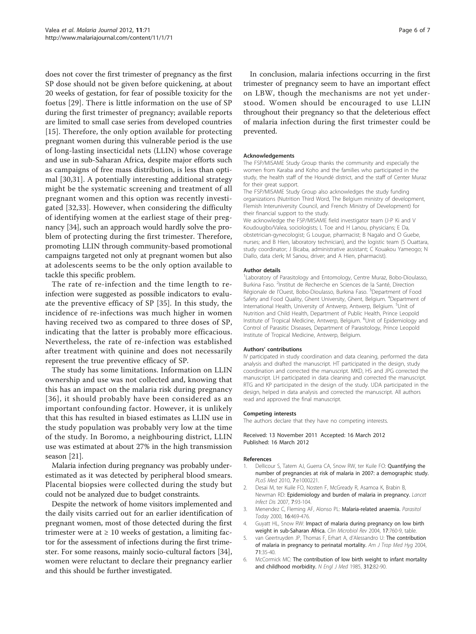<span id="page-5-0"></span>does not cover the first trimester of pregnancy as the first SP dose should not be given before quickening, at about 20 weeks of gestation, for fear of possible toxicity for the foetus [[29\]](#page-6-0). There is little information on the use of SP during the first trimester of pregnancy; available reports are limited to small case series from developed countries [[15](#page-6-0)]. Therefore, the only option available for protecting pregnant women during this vulnerable period is the use of long-lasting insecticidal nets (LLIN) whose coverage and use in sub-Saharan Africa, despite major efforts such as campaigns of free mass distribution, is less than optimal [\[30](#page-6-0),[31\]](#page-6-0). A potentially interesting additional strategy might be the systematic screening and treatment of all pregnant women and this option was recently investigated [[32,33](#page-6-0)]. However, when considering the difficulty of identifying women at the earliest stage of their pregnancy [[34](#page-6-0)], such an approach would hardly solve the problem of protecting during the first trimester. Therefore, promoting LLIN through community-based promotional campaigns targeted not only at pregnant women but also at adolescents seems to be the only option available to tackle this specific problem.

The rate of re-infection and the time length to reinfection were suggested as possible indicators to evaluate the preventive efficacy of SP [\[35](#page-6-0)]. In this study, the incidence of re-infections was much higher in women having received two as compared to three doses of SP, indicating that the latter is probably more efficacious. Nevertheless, the rate of re-infection was established after treatment with quinine and does not necessarily represent the true preventive efficacy of SP.

The study has some limitations. Information on LLIN ownership and use was not collected and, knowing that this has an impact on the malaria risk during pregnancy [[36](#page-6-0)], it should probably have been considered as an important confounding factor. However, it is unlikely that this has resulted in biased estimates as LLIN use in the study population was probably very low at the time of the study. In Boromo, a neighbouring district, LLIN use was estimated at about 27% in the high transmission season [\[21](#page-6-0)].

Malaria infection during pregnancy was probably underestimated as it was detected by peripheral blood smears. Placental biopsies were collected during the study but could not be analyzed due to budget constraints.

Despite the network of home visitors implemented and the daily visits carried out for an earlier identification of pregnant women, most of those detected during the first trimester were at  $\geq 10$  weeks of gestation, a limiting factor for the assessment of infections during the first trimester. For some reasons, mainly socio-cultural factors [\[34](#page-6-0)], women were reluctant to declare their pregnancy earlier and this should be further investigated.

In conclusion, malaria infections occurring in the first trimester of pregnancy seem to have an important effect on LBW, though the mechanisms are not yet understood. Women should be encouraged to use LLIN throughout their pregnancy so that the deleterious effect of malaria infection during the first trimester could be prevented.

#### Acknowledgements

The FSP/MISAME Study Group thanks the community and especially the women from Karaba and Koho and the families who participated in the study, the health staff of the Houndé district, and the staff of Center Muraz for their great support.

The FSP/MISAME Study Group also acknowledges the study funding organizations (Nutrition Third Word, The Belgium ministry of development, Flemish Interuniversity Council, and French Ministry of Development) for their financial support to the study.

We acknowledge the FSP/MISAME field investigator team (J-P Ki and V Koudougbo/Valea, sociologists; L Toe and H Lanou, physicians; E Da, obstetrician-gynecologist; G Lougue, pharmacist; B Nagalo and O Guebe, nurses; and B Hien, laboratory technician), and the logistic team (S Ouattara, study coordinator; J Bicaba, administrative assistant; C Kouakou Yameogo; N Diallo, data clerk; M Sanou, driver; and A Hien, pharmacist).

#### Author details

<sup>1</sup> Laboratory of Parasitology and Entomology, Centre Muraz, Bobo-Dioulasso Burkina Faso. <sup>2</sup>Institut de Recherche en Sciences de la Santé, Direction Régionale de l'Ouest, Bobo-Dioulasso, Burkina Faso. <sup>3</sup>Department of Food Safety and Food Quality, Ghent University, Ghent, Belgium. <sup>4</sup>Department of International Health, University of Antwerp, Antwerp, Belgium. <sup>5</sup>Unit of Nutrition and Child Health, Department of Public Health, Prince Leopold Institute of Tropical Medicine, Antwerp, Belgium. <sup>6</sup>Unit of Epidemiology and Control of Parasitic Diseases, Department of Parasitology, Prince Leopold Institute of Tropical Medicine, Antwerp, Belgium.

#### Authors' contributions

IV participated in study coordination and data cleaning, performed the data analysis and drafted the manuscript. HT participated in the design, study coordination and corrected the manuscript. MKD, HS and JPG corrected the manuscript. LH participated in data cleaning and corrected the manuscript. RTG and KP participated in the design of the study. UDA participated in the design, helped in data analysis and corrected the manuscript. All authors read and approved the final manuscript.

#### Competing interests

The authors declare that they have no competing interests.

#### Received: 13 November 2011 Accepted: 16 March 2012 Published: 16 March 2012

#### References

- 1. Dellicour S, Tatem AJ, Guerra CA, Snow RW, ter Kuile FO: [Quantifying the](http://www.ncbi.nlm.nih.gov/pubmed/20126256?dopt=Abstract) [number of pregnancies at risk of malaria in 2007: a demographic study.](http://www.ncbi.nlm.nih.gov/pubmed/20126256?dopt=Abstract) PLoS Med 2010, 7:e1000221.
- 2. Desai M, ter Kuile FO, Nosten F, McGready R, Asamoa K, Brabin B, Newman RD: [Epidemiology and burden of malaria in pregnancy.](http://www.ncbi.nlm.nih.gov/pubmed/17251080?dopt=Abstract) Lancet Infect Dis 2007, 7:93-104.
- 3. Menendez C, Fleming AF, Alonso PL: [Malaria-related anaemia.](http://www.ncbi.nlm.nih.gov/pubmed/11063857?dopt=Abstract) Parasitol Today 2000, 16:469-476.
- 4. Guyatt HL, Snow RW: [Impact of malaria during pregnancy on low birth](http://www.ncbi.nlm.nih.gov/pubmed/15489346?dopt=Abstract) [weight in sub-Saharan Africa.](http://www.ncbi.nlm.nih.gov/pubmed/15489346?dopt=Abstract) Clin Microbiol Rev 2004, 17:760-9, table.
- 5. van Geertruyden JP, Thomas F, Erhart A, d'Alessandro U: [The contribution](http://www.ncbi.nlm.nih.gov/pubmed/15331817?dopt=Abstract) [of malaria in pregnancy to perinatal mortality.](http://www.ncbi.nlm.nih.gov/pubmed/15331817?dopt=Abstract) Am J Trop Med Hyg 2004, 71:35-40.
- 6. McCormick MC: [The contribution of low birth weight to infant mortality](http://www.ncbi.nlm.nih.gov/pubmed/3880598?dopt=Abstract) [and childhood morbidity.](http://www.ncbi.nlm.nih.gov/pubmed/3880598?dopt=Abstract) N Engl J Med 1985, 312:82-90.